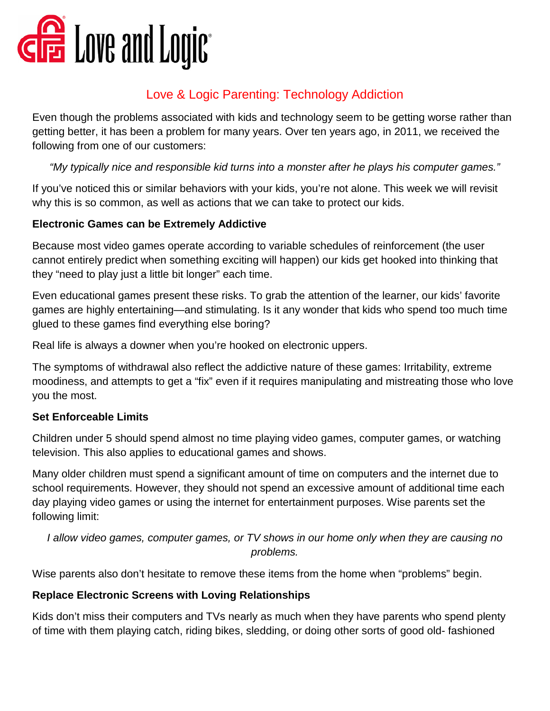

## Love & Logic Parenting: Technology Addiction

Even though the problems associated with kids and technology seem to be getting worse rather than getting better, it has been a problem for many years. Over ten years ago, in 2011, we received the following from one of our customers:

*"My typically nice and responsible kid turns into a monster after he plays his computer games."*

If you've noticed this or similar behaviors with your kids, you're not alone. This week we will revisit why this is so common, as well as actions that we can take to protect our kids.

## **Electronic Games can be Extremely Addictive**

Because most video games operate according to variable schedules of reinforcement (the user cannot entirely predict when something exciting will happen) our kids get hooked into thinking that they "need to play just a little bit longer" each time.

Even educational games present these risks. To grab the attention of the learner, our kids' favorite games are highly entertaining—and stimulating. Is it any wonder that kids who spend too much time glued to these games find everything else boring?

Real life is always a downer when you're hooked on electronic uppers.

The symptoms of withdrawal also reflect the addictive nature of these games: Irritability, extreme moodiness, and attempts to get a "fix" even if it requires manipulating and mistreating those who love you the most.

## **Set Enforceable Limits**

Children under 5 should spend almost no time playing video games, computer games, or watching television. This also applies to educational games and shows.

Many older children must spend a significant amount of time on computers and the internet due to school requirements. However, they should not spend an excessive amount of additional time each day playing video games or using the internet for entertainment purposes. Wise parents set the following limit:

*I allow video games, computer games, or TV shows in our home only when they are causing no problems.*

Wise parents also don't hesitate to remove these items from the home when "problems" begin.

## **Replace Electronic Screens with Loving Relationships**

Kids don't miss their computers and TVs nearly as much when they have parents who spend plenty of time with them playing catch, riding bikes, sledding, or doing other sorts of good old- fashioned